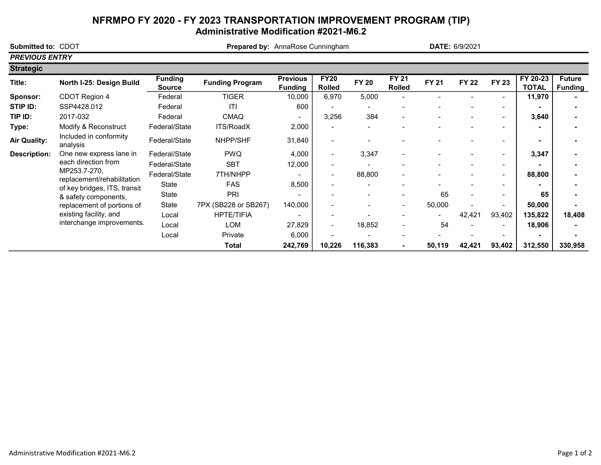## NFRMPO FY 2020 - FY 2023 TRANSPORTATION IMPROVEMENT PROGRAM (TIP) Administrative Modification #2021-M6.2

| Submitted to: CDOT    |                                                                                                                                                                                                                |                                 | Prepared by: AnnaRose Cunningham |                                   |                              |              |                               | DATE: 6/9/2021 |              |                          |                          |                                 |
|-----------------------|----------------------------------------------------------------------------------------------------------------------------------------------------------------------------------------------------------------|---------------------------------|----------------------------------|-----------------------------------|------------------------------|--------------|-------------------------------|----------------|--------------|--------------------------|--------------------------|---------------------------------|
| <b>PREVIOUS ENTRY</b> |                                                                                                                                                                                                                |                                 |                                  |                                   |                              |              |                               |                |              |                          |                          |                                 |
| <b>Strategic</b>      |                                                                                                                                                                                                                |                                 |                                  |                                   |                              |              |                               |                |              |                          |                          |                                 |
| Title:                | North I-25: Design Build                                                                                                                                                                                       | <b>Funding</b><br><b>Source</b> | <b>Funding Program</b>           | <b>Previous</b><br><b>Funding</b> | <b>FY20</b><br><b>Rolled</b> | <b>FY 20</b> | <b>FY 21</b><br><b>Rolled</b> | <b>FY 21</b>   | <b>FY 22</b> | <b>FY 23</b>             | FY 20-23<br><b>TOTAL</b> | <b>Future</b><br><b>Funding</b> |
| Sponsor:              | CDOT Region 4                                                                                                                                                                                                  | Federal                         | <b>TIGER</b>                     | 10,000                            | 6,970                        | 5,000        |                               |                |              |                          | 11,970                   |                                 |
| STIP ID:              | SSP4428.012                                                                                                                                                                                                    | Federal                         | ITI                              | 600                               |                              |              |                               |                |              |                          |                          |                                 |
| TIP ID:               | 2017-032                                                                                                                                                                                                       | Federal                         | <b>CMAQ</b>                      | $\blacksquare$                    | 3,256                        | 384          |                               |                |              | $\overline{\phantom{0}}$ | 3,640                    |                                 |
| Type:                 | Modify & Reconstruct                                                                                                                                                                                           | Federal/State                   | <b>ITS/RoadX</b>                 | 2,000                             |                              |              |                               |                |              | $\overline{a}$           |                          |                                 |
| <b>Air Quality:</b>   | Included in conformity<br>analysis                                                                                                                                                                             | Federal/State                   | NHPP/SHF                         | 31,840                            |                              |              |                               |                |              | $\overline{\phantom{0}}$ |                          |                                 |
| <b>Description:</b>   | One new express lane in                                                                                                                                                                                        | Federal/State                   | <b>PWQ</b>                       | 4,000                             | $\overline{\phantom{a}}$     | 3,347        | $\overline{\phantom{a}}$      |                |              | $\blacksquare$           | 3,347                    |                                 |
|                       | each direction from<br>MP253.7-270,<br>replacement/rehabilitation<br>of key bridges, ITS, transit<br>& safety components,<br>replacement of portions of<br>existing facility, and<br>interchange improvements. | Federal/State                   | <b>SBT</b>                       | 12,000                            |                              |              |                               |                |              | $\overline{\phantom{a}}$ |                          |                                 |
|                       |                                                                                                                                                                                                                | Federal/State                   | 7TH/NHPP                         |                                   |                              | 88,800       |                               |                |              | $\overline{\phantom{0}}$ | 88,800                   |                                 |
|                       |                                                                                                                                                                                                                | State                           | <b>FAS</b>                       | 8,500                             |                              |              |                               |                |              |                          |                          |                                 |
|                       |                                                                                                                                                                                                                | State                           | PRI                              |                                   |                              |              |                               | 65             |              | $\overline{\phantom{a}}$ | 65                       |                                 |
|                       |                                                                                                                                                                                                                | State                           | 7PX (SB228 or SB267)             | 140,000                           |                              |              | $\blacksquare$                | 50,000         |              | $\overline{\phantom{0}}$ | 50,000                   |                                 |
|                       |                                                                                                                                                                                                                | Local                           | <b>HPTE/TIFIA</b>                |                                   |                              |              |                               |                | 42,421       | 93,402                   | 135,822                  | 18,408                          |
|                       |                                                                                                                                                                                                                | Local                           | <b>LOM</b>                       | 27,829                            | $\overline{\phantom{a}}$     | 18,852       | $\overline{\phantom{a}}$      | 54             |              |                          | 18,906                   |                                 |
|                       |                                                                                                                                                                                                                | Local                           | Private                          | 6,000                             |                              |              |                               |                |              |                          |                          |                                 |
|                       |                                                                                                                                                                                                                |                                 | <b>Total</b>                     | 242,769                           | 10,226                       | 116,383      |                               | 50,119         | 42,421       | 93,402                   | 312,550                  | 330,958                         |